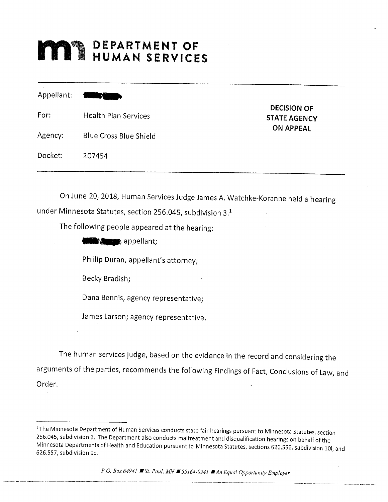# **MINERAL DEPARTMENT OF**

Appellant: For: Health Plan Services DECISION OF STATE AGENCY ON APPEAI Agency: Blue Cross Blue Shield Docket: 207 454

On June 20, 2018, Human Services Judge James A. Watchke-Koranne held <sup>a</sup> hearing under Minnesota Statutes, section 256.045, subdivision 3.1

The following people appeared at the hearing:

€fflhg, appellant;

Phillip Duran, appeilant's attorney;

Becky Bradish;

Dana Bennis, agency representative;

James Larson; agency representative.

The human services judge, based on the evidence in the record and considering the arguments of the parties, recommends the following Findings of Fact, Conclusions of Law, and Order.

P.O. Box 64941 St. Paul, MN  $\blacksquare$  55164-0941  $\blacksquare$  An Equal Opportunity Employer

<sup>&</sup>lt;sup>1</sup>The Minnesota Department of Human Services conducts state fair hearings pursuant to Minnesota Statutes, section 256.045, subdivision 3. The Department also conducts maltreatment and disqualification hearings on behalf of the Minnesota Departments of Health and Education pursuant to Minnesota Statutes, sections 626.556, subdivision 10i; and 626.557, subdivision 9d.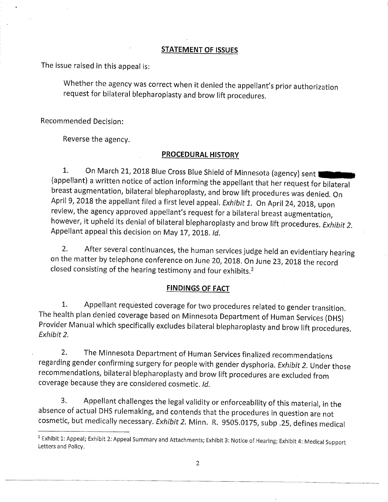## STATEMENT OF ISSUES

The issue raised in this appeal is:

Whether the agency was correct when it denied the appellant's prior authorization request for bilateral blepharoplasty and brow lift procedures.

Recommended Decision:

Reverse the agency.

## PROCEDURAL HISTORY

1. On March 21, 2018 Blue Cross Blue Shield of Minnesota (agency) sent (appellant) <sup>a</sup> written notice of action informing the appellant that her request for bilateral breast augmentation, bilateral blepharoplasty, and brow lift procedures was denied. On April 9, 2018 the appellant filed a first level appeal. Exhibit 1. On April 24, 2018, upon review, the agency approved appellant's request for a bilateral breast augmentation, however, it upheld its denial of bilateral blepharoplasty and brow lift procedures. Exhibit 2. Appellant appeal this decision on May 17, 2018. Id.

2. After several continuances, the human services judge held an evidentiary hearing on the matter by telephone conference on June 20, 2018. On June 23, <sup>2018</sup> the record closed consisting of the hearing testimony and four exhibits.<sup>2</sup>

# FINDINGS OF FACT

1. Appellant requested coverage for two procedures related to gender transition. The health plan denied coverage based on Minnesota Department of Human Services (DHS) Provider Manual which specifically excludes bilateral blepharoplasty and brow lift procedures. Exhibit 2.

2. The Minnesota Department of Human Services finalized recommendations regarding gender confirming surgery for people with gender dysphoria. Exhibit 2. Under those recommendations, bilateral blepharoplasty and brow lift procedures are excluded from coverage because they are considered cosmetic. Id.

3. Appellant challenges the legal validity or enforceability of this material, in the absence of actual DHS rulemaking, and contends that the procedures in question are not cosmetic, but medically necessary. Exhibit 2. Minn. R. 9505.0175, subp.25, defines medical

<sup>&</sup>lt;sup>2</sup> Exhibit 1: Appeal; Exhibit 2: Appeal Summary and Attachments; Exhibit 3: Notice of Hearing; Exhibit 4: Medical Support Letters and Policy.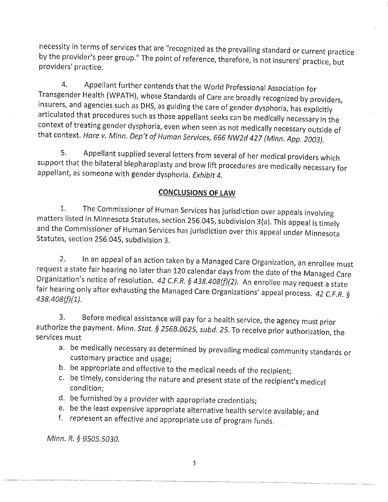necessity in terms of services that are "recognized as the prevailing standard or current practice by the provider's peer group." The point of reference, therefore, is not insurers' practice, but providers' practice.

4. Appellant further contends that the World Professional Association for Transgender Health (WPATH), whose Standards of Care are broadly recognized by providers, insurers, and agencies such as DHS, as guiding the care of gender dysphoria, has explicitly articulated that procedures such as those appellant seeks can be medically necessaryin the context of treating gender dysphoria, even when seen as not medically necessary outside of that context. Hare v. Minn. Dep't of Human Services, <sup>666</sup> NW2d <sup>427</sup> (Minn. App. 2003).

5. Appellant supplied several letters from several of her medical providers which support that the bilateral blepharoplasty and brow lift procedures are medicaily necessary for appellant, as someone with gender dysphoria. Exhibit 4.

# CONCLUSIONS OF IAW

1. The Commissioner of Human Services has jurisdiction over appeals involving matters listed in Minnesota Statutes, section 256.045, subdivision 3(a). This appeal is timely and the Commissioner of Human Services has jurisdiction over this appeal under Minnesota Statutes, section 256.045, subdivision 3.

2. In an appeal of an action taken by <sup>a</sup> Managed Care Organization, an enrollee must request <sup>a</sup> state fair hearing no later than <sup>120</sup> calendar days from the date of the Managed Care Organization's notice of resolution. 42 C.F.R. § 438.408(f)(2). An enrollee may request a state fair hearing only after exhausting the Managed Care Organizations' appeal process. 42 C.F.R. § 438.408(f)(1).

3. Before medical assistance will pay for <sup>a</sup> health service, the agency must prior authorize the payment. Minn. Stat. § 256B.0625, subd. 25. To receive prior authorization, the services must

- a. be medically necessary as determined by prevailing medical community standards or customary practice and usage;
- b. be appropriate and effective to the medical needs of the recipient;
- c. be timely, considering the nature and present state of the recipient's medical condition;
- d. be furnished by <sup>a</sup> provider with appropriate credentials;
- e. be the least expensive appropriate alternative health service available; and
- f. represent an effective and appropriate use of program funds.

Minn. R. § 9505.5030.